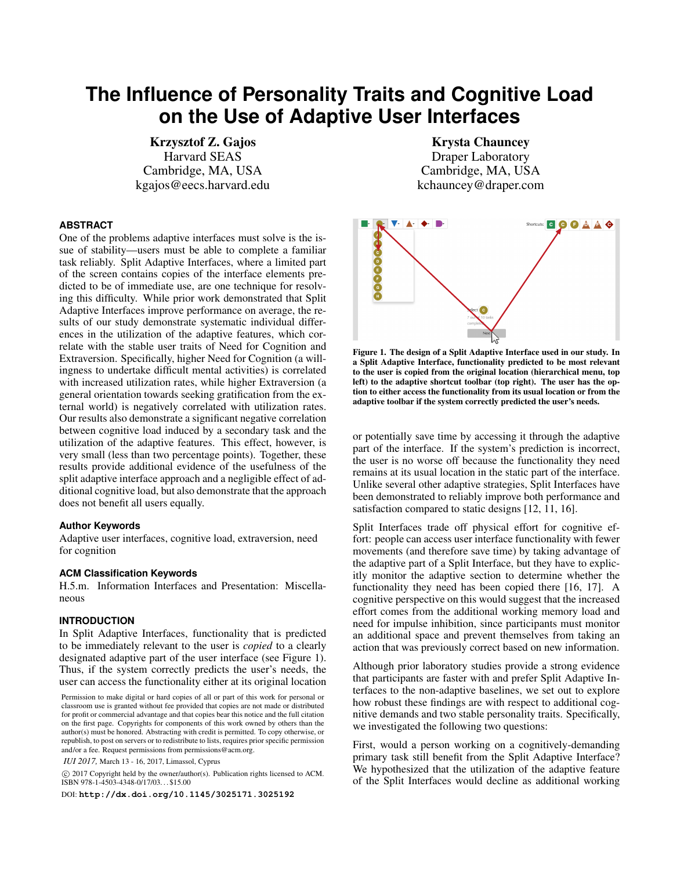# **The Influence of Personality Traits and Cognitive Load on the Use of Adaptive User Interfaces**

Krzysztof Z. Gajos Harvard SEAS Cambridge, MA, USA kgajos@eecs.harvard.edu

## **ABSTRACT**

One of the problems adaptive interfaces must solve is the issue of stability—users must be able to complete a familiar task reliably. Split Adaptive Interfaces, where a limited part of the screen contains copies of the interface elements predicted to be of immediate use, are one technique for resolving this difficulty. While prior work demonstrated that Split Adaptive Interfaces improve performance on average, the results of our study demonstrate systematic individual differences in the utilization of the adaptive features, which correlate with the stable user traits of Need for Cognition and Extraversion. Specifically, higher Need for Cognition (a willingness to undertake difficult mental activities) is correlated with increased utilization rates, while higher Extraversion (a general orientation towards seeking gratification from the external world) is negatively correlated with utilization rates. Our results also demonstrate a significant negative correlation between cognitive load induced by a secondary task and the utilization of the adaptive features. This effect, however, is very small (less than two percentage points). Together, these results provide additional evidence of the usefulness of the split adaptive interface approach and a negligible effect of additional cognitive load, but also demonstrate that the approach does not benefit all users equally.

### **Author Keywords**

Adaptive user interfaces, cognitive load, extraversion, need for cognition

## **ACM Classification Keywords**

H.5.m. Information Interfaces and Presentation: Miscellaneous

#### **INTRODUCTION**

In Split Adaptive Interfaces, functionality that is predicted to be immediately relevant to the user is *copied* to a clearly designated adaptive part of the user interface (see Figure [1\)](#page-0-0). Thus, if the system correctly predicts the user's needs, the user can access the functionality either at its original location

*IUI 2017,* March 13 - 16, 2017, Limassol, Cyprus

 c 2017 Copyright held by the owner/author(s). Publication rights licensed to ACM. ISBN 978-1-4503-4348-0/17/03. . . \$15.00

DOI: **<http://dx.doi.org/10.1145/3025171.3025192>**

<span id="page-0-0"></span>Figure 1. The design of a Split Adaptive Interface used in our study. In a Split Adaptive Interface, functionality predicted to be most relevant to the user is copied from the original location (hierarchical menu, top left) to the adaptive shortcut toolbar (top right). The user has the option to either access the functionality from its usual location or from the adaptive toolbar if the system correctly predicted the user's needs.

or potentially save time by accessing it through the adaptive part of the interface. If the system's prediction is incorrect, the user is no worse off because the functionality they need remains at its usual location in the static part of the interface. Unlike several other adaptive strategies, Split Interfaces have been demonstrated to reliably improve both performance and satisfaction compared to static designs [\[12,](#page-4-0) [11,](#page-4-1) [16\]](#page-4-2).

Split Interfaces trade off physical effort for cognitive effort: people can access user interface functionality with fewer movements (and therefore save time) by taking advantage of the adaptive part of a Split Interface, but they have to explicitly monitor the adaptive section to determine whether the functionality they need has been copied there [\[16,](#page-4-2) [17\]](#page-4-3). A cognitive perspective on this would suggest that the increased effort comes from the additional working memory load and need for impulse inhibition, since participants must monitor an additional space and prevent themselves from taking an action that was previously correct based on new information.

Although prior laboratory studies provide a strong evidence that participants are faster with and prefer Split Adaptive Interfaces to the non-adaptive baselines, we set out to explore how robust these findings are with respect to additional cognitive demands and two stable personality traits. Specifically, we investigated the following two questions:

First, would a person working on a cognitively-demanding primary task still benefit from the Split Adaptive Interface? We hypothesized that the utilization of the adaptive feature of the Split Interfaces would decline as additional working



Krysta Chauncey Draper Laboratory Cambridge, MA, USA kchauncey@draper.com

Permission to make digital or hard copies of all or part of this work for personal or classroom use is granted without fee provided that copies are not made or distributed for profit or commercial advantage and that copies bear this notice and the full citation on the first page. Copyrights for components of this work owned by others than the author(s) must be honored. Abstracting with credit is permitted. To copy otherwise, or republish, to post on servers or to redistribute to lists, requires prior specific permission and/or a fee. Request permissions from permissions@acm.org.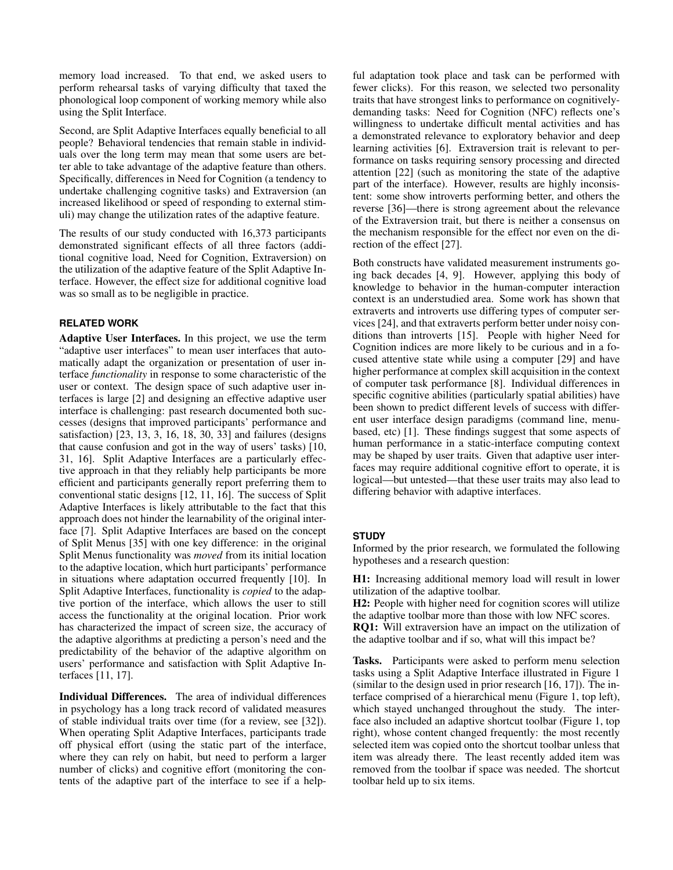memory load increased. To that end, we asked users to perform rehearsal tasks of varying difficulty that taxed the phonological loop component of working memory while also using the Split Interface.

Second, are Split Adaptive Interfaces equally beneficial to all people? Behavioral tendencies that remain stable in individuals over the long term may mean that some users are better able to take advantage of the adaptive feature than others. Specifically, differences in Need for Cognition (a tendency to undertake challenging cognitive tasks) and Extraversion (an increased likelihood or speed of responding to external stimuli) may change the utilization rates of the adaptive feature.

The results of our study conducted with 16,373 participants demonstrated significant effects of all three factors (additional cognitive load, Need for Cognition, Extraversion) on the utilization of the adaptive feature of the Split Adaptive Interface. However, the effect size for additional cognitive load was so small as to be negligible in practice.

## **RELATED WORK**

Adaptive User Interfaces. In this project, we use the term "adaptive user interfaces" to mean user interfaces that automatically adapt the organization or presentation of user interface *functionality* in response to some characteristic of the user or context. The design space of such adaptive user interfaces is large [\[2\]](#page-4-4) and designing an effective adaptive user interface is challenging: past research documented both successes (designs that improved participants' performance and satisfaction) [\[23,](#page-4-5) [13,](#page-4-6) [3,](#page-4-7) [16,](#page-4-2) [18,](#page-4-8) [30,](#page-5-0) [33\]](#page-5-1) and failures (designs that cause confusion and got in the way of users' tasks) [\[10,](#page-4-9) [31,](#page-5-2) [16\]](#page-4-2). Split Adaptive Interfaces are a particularly effective approach in that they reliably help participants be more efficient and participants generally report preferring them to conventional static designs [\[12,](#page-4-0) [11,](#page-4-1) [16\]](#page-4-2). The success of Split Adaptive Interfaces is likely attributable to the fact that this approach does not hinder the learnability of the original interface [\[7\]](#page-4-10). Split Adaptive Interfaces are based on the concept of Split Menus [\[35\]](#page-5-3) with one key difference: in the original Split Menus functionality was *moved* from its initial location to the adaptive location, which hurt participants' performance in situations where adaptation occurred frequently [\[10\]](#page-4-9). In Split Adaptive Interfaces, functionality is *copied* to the adaptive portion of the interface, which allows the user to still access the functionality at the original location. Prior work has characterized the impact of screen size, the accuracy of the adaptive algorithms at predicting a person's need and the predictability of the behavior of the adaptive algorithm on users' performance and satisfaction with Split Adaptive Interfaces [\[11,](#page-4-1) [17\]](#page-4-3).

Individual Differences. The area of individual differences in psychology has a long track record of validated measures of stable individual traits over time (for a review, see [\[32\]](#page-5-4)). When operating Split Adaptive Interfaces, participants trade off physical effort (using the static part of the interface, where they can rely on habit, but need to perform a larger number of clicks) and cognitive effort (monitoring the contents of the adaptive part of the interface to see if a helpful adaptation took place and task can be performed with fewer clicks). For this reason, we selected two personality traits that have strongest links to performance on cognitivelydemanding tasks: Need for Cognition (NFC) reflects one's willingness to undertake difficult mental activities and has a demonstrated relevance to exploratory behavior and deep learning activities [\[6\]](#page-4-11). Extraversion trait is relevant to performance on tasks requiring sensory processing and directed attention [\[22\]](#page-4-12) (such as monitoring the state of the adaptive part of the interface). However, results are highly inconsistent: some show introverts performing better, and others the reverse [\[36\]](#page-5-5)—there is strong agreement about the relevance of the Extraversion trait, but there is neither a consensus on the mechanism responsible for the effect nor even on the direction of the effect [\[27\]](#page-5-6).

Both constructs have validated measurement instruments going back decades [\[4,](#page-4-13) [9\]](#page-4-14). However, applying this body of knowledge to behavior in the human-computer interaction context is an understudied area. Some work has shown that extraverts and introverts use differing types of computer services [\[24\]](#page-4-15), and that extraverts perform better under noisy conditions than introverts [\[15\]](#page-4-16). People with higher Need for Cognition indices are more likely to be curious and in a focused attentive state while using a computer [\[29\]](#page-5-7) and have higher performance at complex skill acquisition in the context of computer task performance [\[8\]](#page-4-17). Individual differences in specific cognitive abilities (particularly spatial abilities) have been shown to predict different levels of success with different user interface design paradigms (command line, menubased, etc) [\[1\]](#page-4-18). These findings suggest that some aspects of human performance in a static-interface computing context may be shaped by user traits. Given that adaptive user interfaces may require additional cognitive effort to operate, it is logical—but untested—that these user traits may also lead to differing behavior with adaptive interfaces.

## **STUDY**

Informed by the prior research, we formulated the following hypotheses and a research question:

H1: Increasing additional memory load will result in lower utilization of the adaptive toolbar.

H2: People with higher need for cognition scores will utilize the adaptive toolbar more than those with low NFC scores. RQ1: Will extraversion have an impact on the utilization of the adaptive toolbar and if so, what will this impact be?

Tasks. Participants were asked to perform menu selection tasks using a Split Adaptive Interface illustrated in Figure [1](#page-0-0) (similar to the design used in prior research [\[16,](#page-4-2) [17\]](#page-4-3)). The interface comprised of a hierarchical menu (Figure [1,](#page-0-0) top left), which stayed unchanged throughout the study. The interface also included an adaptive shortcut toolbar (Figure [1,](#page-0-0) top right), whose content changed frequently: the most recently selected item was copied onto the shortcut toolbar unless that item was already there. The least recently added item was removed from the toolbar if space was needed. The shortcut toolbar held up to six items.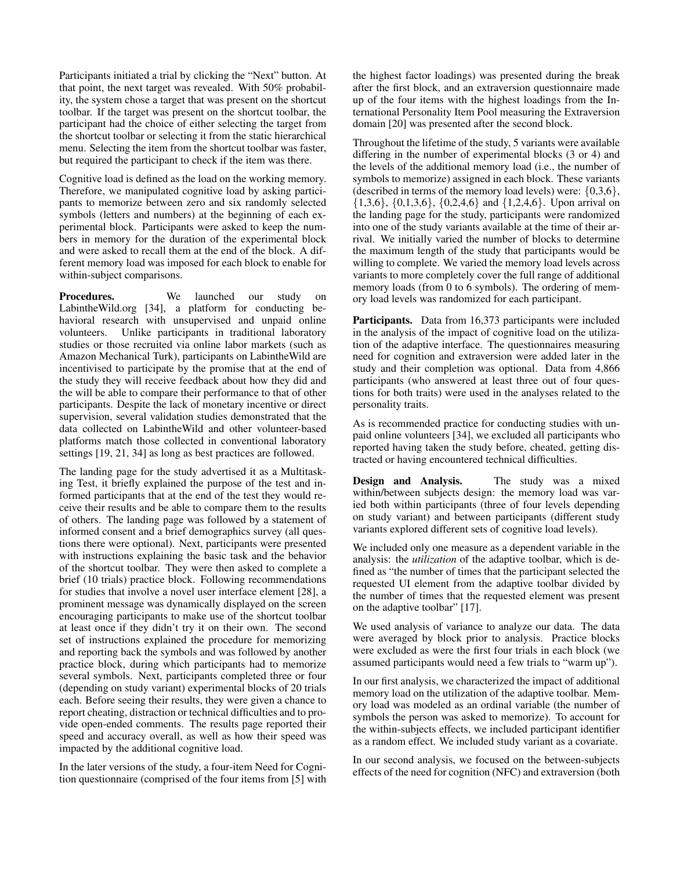Participants initiated a trial by clicking the "Next" button. At that point, the next target was revealed. With 50% probability, the system chose a target that was present on the shortcut toolbar. If the target was present on the shortcut toolbar, the participant had the choice of either selecting the target from the shortcut toolbar or selecting it from the static hierarchical menu. Selecting the item from the shortcut toolbar was faster, but required the participant to check if the item was there.

Cognitive load is defined as the load on the working memory. Therefore, we manipulated cognitive load by asking participants to memorize between zero and six randomly selected symbols (letters and numbers) at the beginning of each experimental block. Participants were asked to keep the numbers in memory for the duration of the experimental block and were asked to recall them at the end of the block. A different memory load was imposed for each block to enable for within-subject comparisons.

Procedures. We launched our study on LabintheWild.org [\[34\]](#page-5-8), a platform for conducting behavioral research with unsupervised and unpaid online volunteers. Unlike participants in traditional laboratory studies or those recruited via online labor markets (such as Amazon Mechanical Turk), participants on LabintheWild are incentivised to participate by the promise that at the end of the study they will receive feedback about how they did and the will be able to compare their performance to that of other participants. Despite the lack of monetary incentive or direct supervision, several validation studies demonstrated that the data collected on LabintheWild and other volunteer-based platforms match those collected in conventional laboratory settings [\[19,](#page-4-19) [21,](#page-4-20) [34\]](#page-5-8) as long as best practices are followed.

The landing page for the study advertised it as a Multitasking Test, it briefly explained the purpose of the test and informed participants that at the end of the test they would receive their results and be able to compare them to the results of others. The landing page was followed by a statement of informed consent and a brief demographics survey (all questions there were optional). Next, participants were presented with instructions explaining the basic task and the behavior of the shortcut toolbar. They were then asked to complete a brief (10 trials) practice block. Following recommendations for studies that involve a novel user interface element [\[28\]](#page-5-9), a prominent message was dynamically displayed on the screen encouraging participants to make use of the shortcut toolbar at least once if they didn't try it on their own. The second set of instructions explained the procedure for memorizing and reporting back the symbols and was followed by another practice block, during which participants had to memorize several symbols. Next, participants completed three or four (depending on study variant) experimental blocks of 20 trials each. Before seeing their results, they were given a chance to report cheating, distraction or technical difficulties and to provide open-ended comments. The results page reported their speed and accuracy overall, as well as how their speed was impacted by the additional cognitive load.

In the later versions of the study, a four-item Need for Cognition questionnaire (comprised of the four items from [\[5\]](#page-4-21) with the highest factor loadings) was presented during the break after the first block, and an extraversion questionnaire made up of the four items with the highest loadings from the International Personality Item Pool measuring the Extraversion domain [\[20\]](#page-4-22) was presented after the second block.

Throughout the lifetime of the study, 5 variants were available differing in the number of experimental blocks (3 or 4) and the levels of the additional memory load (i.e., the number of symbols to memorize) assigned in each block. These variants (described in terms of the memory load levels) were:  $\{0,3,6\}$ ,  $\{1,3,6\}, \{0,1,3,6\}, \{0,2,4,6\}$  and  $\{1,2,4,6\}$ . Upon arrival on the landing page for the study, participants were randomized into one of the study variants available at the time of their arrival. We initially varied the number of blocks to determine the maximum length of the study that participants would be willing to complete. We varied the memory load levels across variants to more completely cover the full range of additional memory loads (from 0 to 6 symbols). The ordering of memory load levels was randomized for each participant.

Participants. Data from 16,373 participants were included in the analysis of the impact of cognitive load on the utilization of the adaptive interface. The questionnaires measuring need for cognition and extraversion were added later in the study and their completion was optional. Data from 4,866 participants (who answered at least three out of four questions for both traits) were used in the analyses related to the personality traits.

As is recommended practice for conducting studies with unpaid online volunteers [\[34\]](#page-5-8), we excluded all participants who reported having taken the study before, cheated, getting distracted or having encountered technical difficulties.

Design and Analysis. The study was a mixed within/between subjects design: the memory load was varied both within participants (three of four levels depending on study variant) and between participants (different study variants explored different sets of cognitive load levels).

We included only one measure as a dependent variable in the analysis: the *utilization* of the adaptive toolbar, which is defined as "the number of times that the participant selected the requested UI element from the adaptive toolbar divided by the number of times that the requested element was present on the adaptive toolbar" [\[17\]](#page-4-3).

We used analysis of variance to analyze our data. The data were averaged by block prior to analysis. Practice blocks were excluded as were the first four trials in each block (we assumed participants would need a few trials to "warm up").

In our first analysis, we characterized the impact of additional memory load on the utilization of the adaptive toolbar. Memory load was modeled as an ordinal variable (the number of symbols the person was asked to memorize). To account for the within-subjects effects, we included participant identifier as a random effect. We included study variant as a covariate.

In our second analysis, we focused on the between-subjects effects of the need for cognition (NFC) and extraversion (both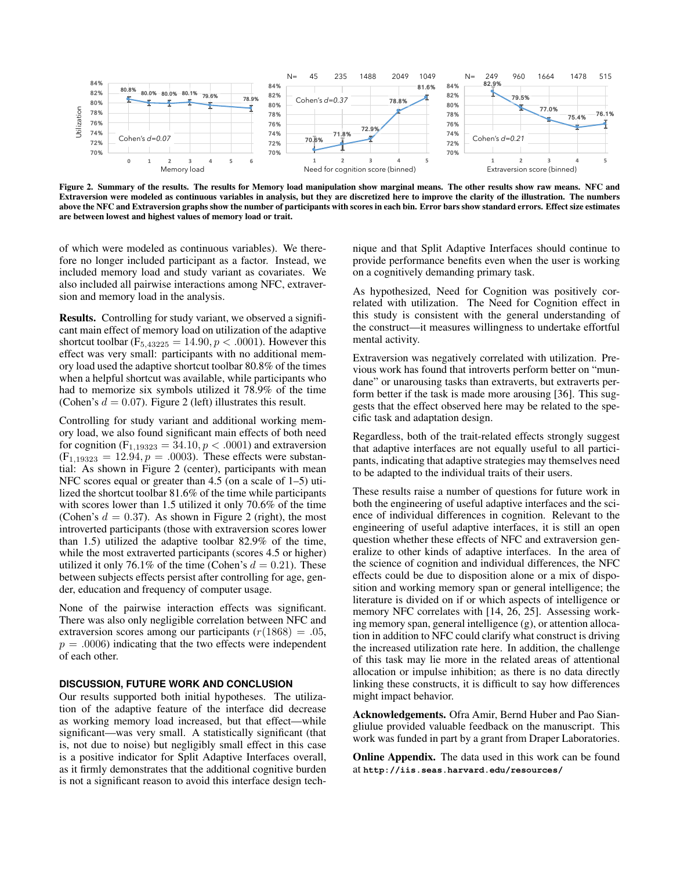

<span id="page-3-0"></span>Figure 2. Summary of the results. The results for Memory load manipulation show marginal means. The other results show raw means. NFC and Extraversion were modeled as continuous variables in analysis, but they are discretized here to improve the clarity of the illustration. The numbers above the NFC and Extraversion graphs show the number of participants with scores in each bin. Error bars show standard errors. Effect size estimates are between lowest and highest values of memory load or trait.

of which were modeled as continuous variables). We therefore no longer included participant as a factor. Instead, we included memory load and study variant as covariates. We also included all pairwise interactions among NFC, extraversion and memory load in the analysis.

Results. Controlling for study variant, we observed a significant main effect of memory load on utilization of the adaptive shortcut toolbar (F<sub>5,43225</sub> = 14.90,  $p < .0001$ ). However this effect was very small: participants with no additional memory load used the adaptive shortcut toolbar 80.8% of the times when a helpful shortcut was available, while participants who had to memorize six symbols utilized it 78.9% of the time (Cohen's  $d = 0.07$ ). Figure [2](#page-3-0) (left) illustrates this result.

Controlling for study variant and additional working memory load, we also found significant main effects of both need for cognition  $(F_{1,19323} = 34.10, p < .0001)$  and extraversion  $(F_{1,19323} = 12.94, p = .0003)$ . These effects were substantial: As shown in Figure [2](#page-3-0) (center), participants with mean NFC scores equal or greater than 4.5 (on a scale of 1–5) utilized the shortcut toolbar 81.6% of the time while participants with scores lower than 1.5 utilized it only 70.6% of the time (Cohen's  $d = 0.37$ ). As shown in Figure [2](#page-3-0) (right), the most introverted participants (those with extraversion scores lower than 1.5) utilized the adaptive toolbar 82.9% of the time, while the most extraverted participants (scores 4.5 or higher) utilized it only 76.1% of the time (Cohen's  $d = 0.21$ ). These between subjects effects persist after controlling for age, gender, education and frequency of computer usage.

None of the pairwise interaction effects was significant. There was also only negligible correlation between NFC and extraversion scores among our participants  $(r(1868) = .05,$  $p = .0006$ ) indicating that the two effects were independent of each other.

#### **DISCUSSION, FUTURE WORK AND CONCLUSION**

Our results supported both initial hypotheses. The utilization of the adaptive feature of the interface did decrease as working memory load increased, but that effect—while significant—was very small. A statistically significant (that is, not due to noise) but negligibly small effect in this case is a positive indicator for Split Adaptive Interfaces overall, as it firmly demonstrates that the additional cognitive burden is not a significant reason to avoid this interface design tech-

nique and that Split Adaptive Interfaces should continue to provide performance benefits even when the user is working on a cognitively demanding primary task.

As hypothesized, Need for Cognition was positively correlated with utilization. The Need for Cognition effect in this study is consistent with the general understanding of the construct—it measures willingness to undertake effortful mental activity.

Extraversion was negatively correlated with utilization. Previous work has found that introverts perform better on "mundane" or unarousing tasks than extraverts, but extraverts perform better if the task is made more arousing [\[36\]](#page-5-5). This suggests that the effect observed here may be related to the specific task and adaptation design.

Regardless, both of the trait-related effects strongly suggest that adaptive interfaces are not equally useful to all participants, indicating that adaptive strategies may themselves need to be adapted to the individual traits of their users.

These results raise a number of questions for future work in both the engineering of useful adaptive interfaces and the science of individual differences in cognition. Relevant to the engineering of useful adaptive interfaces, it is still an open question whether these effects of NFC and extraversion generalize to other kinds of adaptive interfaces. In the area of the science of cognition and individual differences, the NFC effects could be due to disposition alone or a mix of disposition and working memory span or general intelligence; the literature is divided on if or which aspects of intelligence or memory NFC correlates with [\[14,](#page-4-23) [26,](#page-5-10) [25\]](#page-4-24). Assessing working memory span, general intelligence (g), or attention allocation in addition to NFC could clarify what construct is driving the increased utilization rate here. In addition, the challenge of this task may lie more in the related areas of attentional allocation or impulse inhibition; as there is no data directly linking these constructs, it is difficult to say how differences might impact behavior.

Acknowledgements. Ofra Amir, Bernd Huber and Pao Siangliulue provided valuable feedback on the manuscript. This work was funded in part by a grant from Draper Laboratories.

**Online Appendix.** The data used in this work can be found at **<http://iis.seas.harvard.edu/resources/>**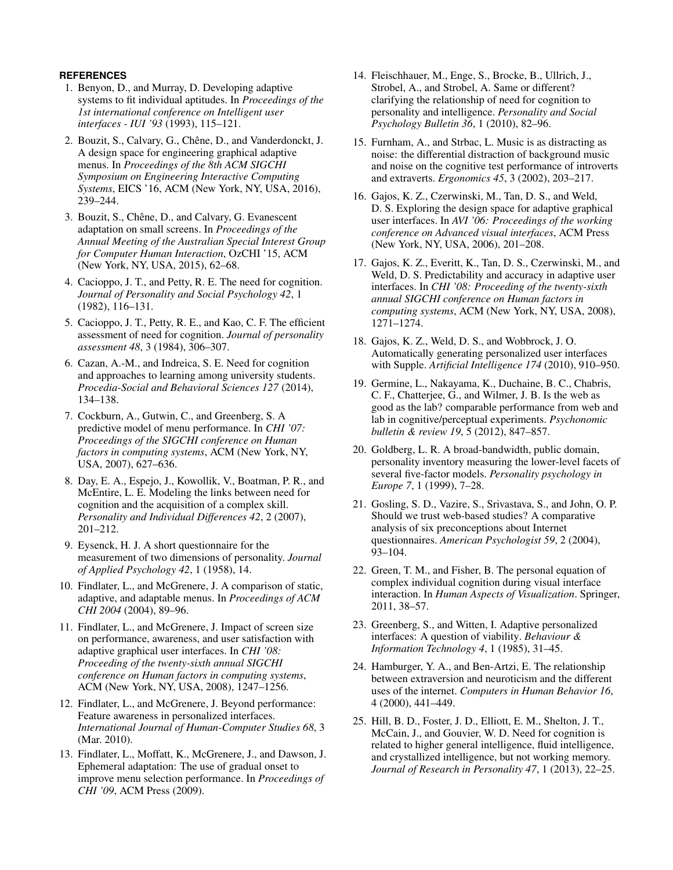## <span id="page-4-18"></span>**REFERENCES**

- 1. Benyon, D., and Murray, D. Developing adaptive systems to fit individual aptitudes. In *Proceedings of the 1st international conference on Intelligent user interfaces - IUI '93* (1993), 115–121.
- <span id="page-4-4"></span>2. Bouzit, S., Calvary, G., Chêne, D., and Vanderdonckt, J. A design space for engineering graphical adaptive menus. In *Proceedings of the 8th ACM SIGCHI Symposium on Engineering Interactive Computing Systems*, EICS '16, ACM (New York, NY, USA, 2016), 239–244.
- <span id="page-4-7"></span>3. Bouzit, S., Chêne, D., and Calvary, G. Evanescent adaptation on small screens. In *Proceedings of the Annual Meeting of the Australian Special Interest Group for Computer Human Interaction*, OzCHI '15, ACM (New York, NY, USA, 2015), 62–68.
- <span id="page-4-13"></span>4. Cacioppo, J. T., and Petty, R. E. The need for cognition. *Journal of Personality and Social Psychology 42*, 1 (1982), 116–131.
- <span id="page-4-21"></span>5. Cacioppo, J. T., Petty, R. E., and Kao, C. F. The efficient assessment of need for cognition. *Journal of personality assessment 48*, 3 (1984), 306–307.
- <span id="page-4-11"></span>6. Cazan, A.-M., and Indreica, S. E. Need for cognition and approaches to learning among university students. *Procedia-Social and Behavioral Sciences 127* (2014), 134–138.
- <span id="page-4-10"></span>7. Cockburn, A., Gutwin, C., and Greenberg, S. A predictive model of menu performance. In *CHI '07: Proceedings of the SIGCHI conference on Human factors in computing systems*, ACM (New York, NY, USA, 2007), 627–636.
- <span id="page-4-17"></span>8. Day, E. A., Espejo, J., Kowollik, V., Boatman, P. R., and McEntire, L. E. Modeling the links between need for cognition and the acquisition of a complex skill. *Personality and Individual Differences 42*, 2 (2007), 201–212.
- <span id="page-4-14"></span>9. Eysenck, H. J. A short questionnaire for the measurement of two dimensions of personality. *Journal of Applied Psychology 42*, 1 (1958), 14.
- <span id="page-4-9"></span>10. Findlater, L., and McGrenere, J. A comparison of static, adaptive, and adaptable menus. In *Proceedings of ACM CHI 2004* (2004), 89–96.
- <span id="page-4-1"></span>11. Findlater, L., and McGrenere, J. Impact of screen size on performance, awareness, and user satisfaction with adaptive graphical user interfaces. In *CHI '08: Proceeding of the twenty-sixth annual SIGCHI conference on Human factors in computing systems*, ACM (New York, NY, USA, 2008), 1247–1256.
- <span id="page-4-0"></span>12. Findlater, L., and McGrenere, J. Beyond performance: Feature awareness in personalized interfaces. *International Journal of Human-Computer Studies 68*, 3 (Mar. 2010).
- <span id="page-4-6"></span>13. Findlater, L., Moffatt, K., McGrenere, J., and Dawson, J. Ephemeral adaptation: The use of gradual onset to improve menu selection performance. In *Proceedings of CHI '09*, ACM Press (2009).
- <span id="page-4-23"></span>14. Fleischhauer, M., Enge, S., Brocke, B., Ullrich, J., Strobel, A., and Strobel, A. Same or different? clarifying the relationship of need for cognition to personality and intelligence. *Personality and Social Psychology Bulletin 36*, 1 (2010), 82–96.
- <span id="page-4-16"></span>15. Furnham, A., and Strbac, L. Music is as distracting as noise: the differential distraction of background music and noise on the cognitive test performance of introverts and extraverts. *Ergonomics 45*, 3 (2002), 203–217.
- <span id="page-4-2"></span>16. Gajos, K. Z., Czerwinski, M., Tan, D. S., and Weld, D. S. Exploring the design space for adaptive graphical user interfaces. In *AVI '06: Proceedings of the working conference on Advanced visual interfaces*, ACM Press (New York, NY, USA, 2006), 201–208.
- <span id="page-4-3"></span>17. Gajos, K. Z., Everitt, K., Tan, D. S., Czerwinski, M., and Weld, D. S. Predictability and accuracy in adaptive user interfaces. In *CHI '08: Proceeding of the twenty-sixth annual SIGCHI conference on Human factors in computing systems*, ACM (New York, NY, USA, 2008), 1271–1274.
- <span id="page-4-8"></span>18. Gajos, K. Z., Weld, D. S., and Wobbrock, J. O. Automatically generating personalized user interfaces with Supple. *Artificial Intelligence 174* (2010), 910–950.
- <span id="page-4-19"></span>19. Germine, L., Nakayama, K., Duchaine, B. C., Chabris, C. F., Chatterjee, G., and Wilmer, J. B. Is the web as good as the lab? comparable performance from web and lab in cognitive/perceptual experiments. *Psychonomic bulletin & review 19*, 5 (2012), 847–857.
- <span id="page-4-22"></span>20. Goldberg, L. R. A broad-bandwidth, public domain, personality inventory measuring the lower-level facets of several five-factor models. *Personality psychology in Europe 7*, 1 (1999), 7–28.
- <span id="page-4-20"></span>21. Gosling, S. D., Vazire, S., Srivastava, S., and John, O. P. Should we trust web-based studies? A comparative analysis of six preconceptions about Internet questionnaires. *American Psychologist 59*, 2 (2004), 93–104.
- <span id="page-4-12"></span>22. Green, T. M., and Fisher, B. The personal equation of complex individual cognition during visual interface interaction. In *Human Aspects of Visualization*. Springer, 2011, 38–57.
- <span id="page-4-5"></span>23. Greenberg, S., and Witten, I. Adaptive personalized interfaces: A question of viability. *Behaviour & Information Technology 4*, 1 (1985), 31–45.
- <span id="page-4-15"></span>24. Hamburger, Y. A., and Ben-Artzi, E. The relationship between extraversion and neuroticism and the different uses of the internet. *Computers in Human Behavior 16*, 4 (2000), 441–449.
- <span id="page-4-24"></span>25. Hill, B. D., Foster, J. D., Elliott, E. M., Shelton, J. T., McCain, J., and Gouvier, W. D. Need for cognition is related to higher general intelligence, fluid intelligence, and crystallized intelligence, but not working memory. *Journal of Research in Personality 47*, 1 (2013), 22–25.